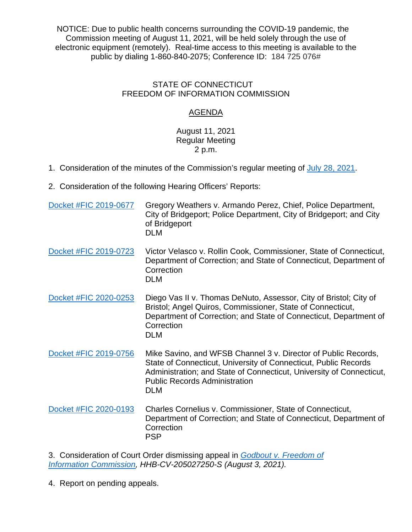NOTICE: Due to public health concerns surrounding the COVID-19 pandemic, the Commission meeting of August 11, 2021, will be held solely through the use of electronic equipment (remotely). Real-time access to this meeting is available to the public by dialing 1-860-840-2075; Conference ID: 184 725 076#

## STATE OF CONNECTICUT FREEDOM OF INFORMATION COMMISSION

## AGENDA

## August 11, 2021 Regular Meeting 2 p.m.

- 1. Consideration of the minutes of the Commission's regular meeting of [July 28, 2021.](https://portal.ct.gov/-/media/FOI/Minutes/2021/Minutes-7-28-2021.pdf)
- 2. Consideration of the following Hearing Officers' Reports:

| Docket #FIC 2019-0677 | Gregory Weathers v. Armando Perez, Chief, Police Department,<br>City of Bridgeport; Police Department, City of Bridgeport; and City<br>of Bridgeport<br><b>DLM</b>                                                                                              |
|-----------------------|-----------------------------------------------------------------------------------------------------------------------------------------------------------------------------------------------------------------------------------------------------------------|
| Docket #FIC 2019-0723 | Victor Velasco v. Rollin Cook, Commissioner, State of Connecticut,<br>Department of Correction; and State of Connecticut, Department of<br>Correction<br><b>DLM</b>                                                                                             |
| Docket #FIC 2020-0253 | Diego Vas II v. Thomas DeNuto, Assessor, City of Bristol; City of<br>Bristol; Angel Quiros, Commissioner, State of Connecticut,<br>Department of Correction; and State of Connecticut, Department of<br>Correction<br><b>DLM</b>                                |
| Docket #FIC 2019-0756 | Mike Savino, and WFSB Channel 3 v. Director of Public Records,<br>State of Connecticut, University of Connecticut, Public Records<br>Administration; and State of Connecticut, University of Connecticut,<br><b>Public Records Administration</b><br><b>DLM</b> |
| Docket #FIC 2020-0193 | Charles Cornelius v. Commissioner, State of Connecticut,<br>Department of Correction; and State of Connecticut, Department of<br>Correction<br><b>PSP</b>                                                                                                       |

3. Consideration of Court Order dismissing appeal in *[Godbout v. Freedom of](https://portal.ct.gov/-/media/FOI/CourtDecisions/CD2021/Godbout-v-FOI-Commn-PRVR-832021.pdf)  Information [Commission,](https://portal.ct.gov/-/media/FOI/CourtDecisions/CD2021/Godbout-v-FOI-Commn-PRVR-832021.pdf) HHB-CV-205027250-S (August 3, 2021).*

4. Report on pending appeals.